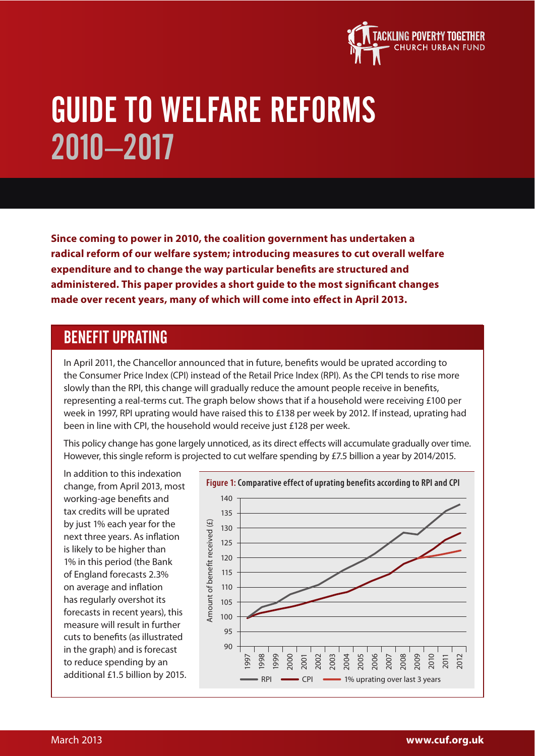

# GUIDE TO WELFARE REFORMS 2010–2017

**Since coming to power in 2010, the coalition government has undertaken a radical reform of our welfare system; introducing measures to cut overall welfare expenditure and to change the way particular benefits are structured and administered. This paper provides a short guide to the most signi!cant changes made over recent years, many of which will come into effect in April 2013.** 

## BENEFIT UPRATING

In April 2011, the Chancellor announced that in future, benefits would be uprated according to the Consumer Price Index (CPI) instead of the Retail Price Index (RPI). As the CPI tends to rise more slowly than the RPI, this change will gradually reduce the amount people receive in benefits, representing a real-terms cut. The graph below shows that if a household were receiving £100 per week in 1997, RPI uprating would have raised this to £138 per week by 2012. If instead, uprating had been in line with CPI, the household would receive just £128 per week.

This policy change has gone largely unnoticed, as its direct effects will accumulate gradually over time. However, this single reform is projected to cut welfare spending by £7.5 billion a year by 2014/2015.

In addition to this indexation change, from April 2013, most working-age benefits and tax credits will be uprated by just 1% each year for the next three years. As inflation is likely to be higher than 1% in this period (the Bank of England forecasts 2.3% on average and inflation has regularly overshot its forecasts in recent years), this measure will result in further cuts to benefits (as illustrated in the graph) and is forecast to reduce spending by an additional £1.5 billion by 2015.

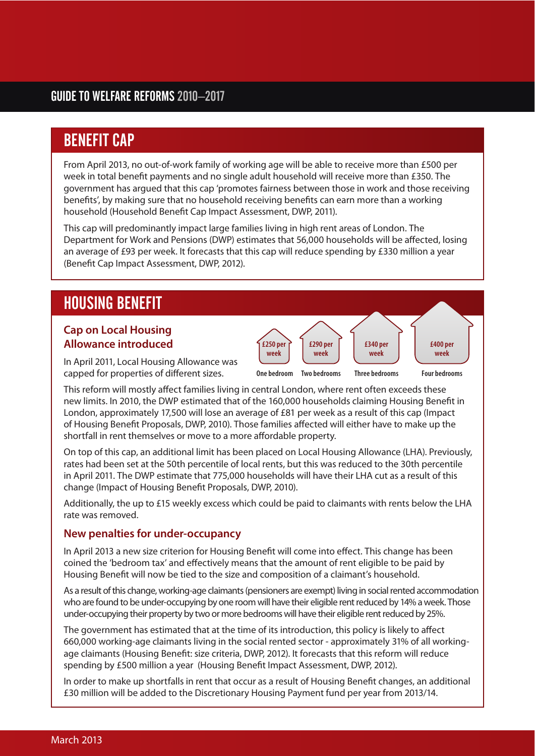# BENEFIT CAP

From April 2013, no out-of-work family of working age will be able to receive more than £500 per week in total benefit payments and no single adult household will receive more than £350. The government has argued that this cap 'promotes fairness between those in work and those receiving benefits', by making sure that no household receiving benefits can earn more than a working household (Household Benefit Cap Impact Assessment, DWP, 2011).

This cap will predominantly impact large families living in high rent areas of London. The Department for Work and Pensions (DWP) estimates that 56,000 households will be affected, losing an average of £93 per week. It forecasts that this cap will reduce spending by £330 million a year (Benefit Cap Impact Assessment, DWP, 2012).

# HOUSING BENEFIT

#### **Cap on Local Housing Allowance introduced**

In April 2011, Local Housing Allowance was capped for properties of different sizes.

This reform will mostly affect families living in central London, where rent often exceeds these new limits. In 2010, the DWP estimated that of the 160,000 households claiming Housing Benefit in London, approximately 17,500 will lose an average of £81 per week as a result of this cap (Impact of Housing Benefit Proposals, DWP, 2010). Those families affected will either have to make up the shortfall in rent themselves or move to a more affordable property.

**£250 per week**

**£290 per week**

**One bedroom Two bedrooms Three bedrooms**

**£340 per week**

**£400 per week**

**Four bedrooms**

On top of this cap, an additional limit has been placed on Local Housing Allowance (LHA). Previously, rates had been set at the 50th percentile of local rents, but this was reduced to the 30th percentile in April 2011. The DWP estimate that 775,000 households will have their LHA cut as a result of this change (Impact of Housing Benefit Proposals, DWP, 2010).

Additionally, the up to £15 weekly excess which could be paid to claimants with rents below the LHA rate was removed.

#### **New penalties for under-occupancy**

In April 2013 a new size criterion for Housing Benefit will come into effect. This change has been coined the 'bedroom tax' and effectively means that the amount of rent eligible to be paid by Housing Benefit will now be tied to the size and composition of a claimant's household.

As a result of this change, working-age claimants (pensioners are exempt) living in social rented accommodation who are found to be under-occupying by one room will have their eligible rent reduced by 14% a week. Those under-occupying their property by two or more bedrooms will have their eligible rent reduced by 25%.

The government has estimated that at the time of its introduction, this policy is likely to affect 660,000 working-age claimants living in the social rented sector - approximately 31% of all workingage claimants (Housing Benefit: size criteria, DWP, 2012). It forecasts that this reform will reduce spending by £500 million a year (Housing Benefit Impact Assessment, DWP, 2012).

In order to make up shortfalls in rent that occur as a result of Housing Benefit changes, an additional £30 million will be added to the Discretionary Housing Payment fund per year from 2013/14.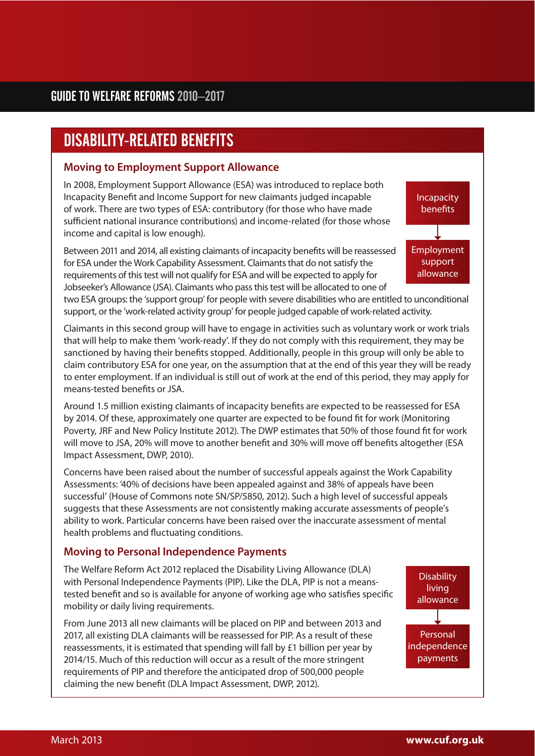# DISABILITY-RELATED BENEFITS

#### **Moving to Employment Support Allowance**

In 2008, Employment Support Allowance (ESA) was introduced to replace both Incapacity Benefit and Income Support for new claimants judged incapable of work. There are two types of ESA: contributory (for those who have made sufficient national insurance contributions) and income-related (for those whose income and capital is low enough).

Between 2011 and 2014, all existing claimants of incapacity benefits will be reassessed for ESA under the Work Capability Assessment. Claimants that do not satisfy the requirements of this test will not qualify for ESA and will be expected to apply for Jobseeker's Allowance (JSA). Claimants who pass this test will be allocated to one of

**Incapacity** benefits Employment support allowance

two ESA groups: the 'support group' for people with severe disabilities who are entitled to unconditional support, or the 'work-related activity group' for people judged capable of work-related activity.

Claimants in this second group will have to engage in activities such as voluntary work or work trials that will help to make them 'work-ready'. If they do not comply with this requirement, they may be sanctioned by having their benefits stopped. Additionally, people in this group will only be able to claim contributory ESA for one year, on the assumption that at the end of this year they will be ready to enter employment. If an individual is still out of work at the end of this period, they may apply for means-tested benefits or JSA.

Around 1.5 million existing claimants of incapacity benefits are expected to be reassessed for ESA by 2014. Of these, approximately one quarter are expected to be found fit for work (Monitoring Poverty, JRF and New Policy Institute 2012). The DWP estimates that 50% of those found fit for work will move to JSA, 20% will move to another benefit and 30% will move off benefits altogether (ESA Impact Assessment, DWP, 2010).

Concerns have been raised about the number of successful appeals against the Work Capability Assessments: '40% of decisions have been appealed against and 38% of appeals have been successful' (House of Commons note SN/SP/5850, 2012). Such a high level of successful appeals suggests that these Assessments are not consistently making accurate assessments of people's ability to work. Particular concerns have been raised over the inaccurate assessment of mental health problems and fluctuating conditions.

#### **Moving to Personal Independence Payments**

The Welfare Reform Act 2012 replaced the Disability Living Allowance (DLA) with Personal Independence Payments (PIP). Like the DLA, PIP is not a meanstested benefit and so is available for anyone of working age who satisfies specific mobility or daily living requirements.

From June 2013 all new claimants will be placed on PIP and between 2013 and 2017, all existing DLA claimants will be reassessed for PIP. As a result of these reassessments, it is estimated that spending will fall by £1 billion per year by 2014/15. Much of this reduction will occur as a result of the more stringent requirements of PIP and therefore the anticipated drop of 500,000 people claiming the new benefit (DLA Impact Assessment, DWP, 2012).

**Disability** living allowance

Personal independence payments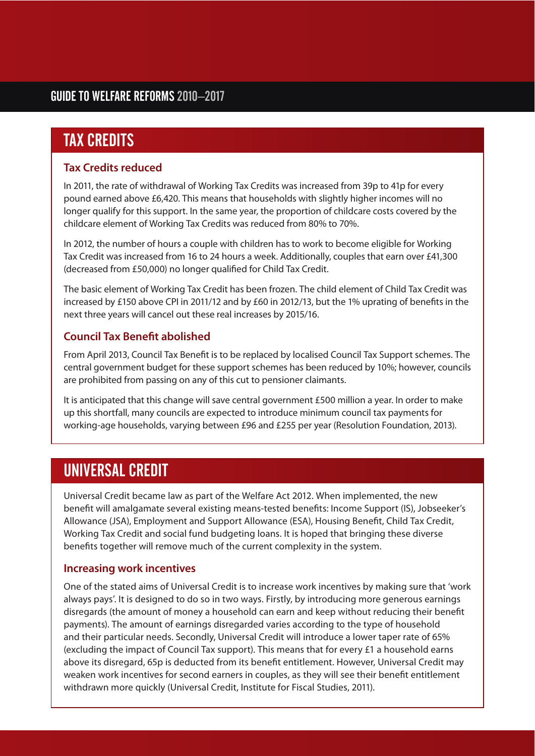# TAX CREDITS

#### **Tax Credits reduced**

In 2011, the rate of withdrawal of Working Tax Credits was increased from 39p to 41p for every pound earned above £6,420. This means that households with slightly higher incomes will no longer qualify for this support. In the same year, the proportion of childcare costs covered by the childcare element of Working Tax Credits was reduced from 80% to 70%.

In 2012, the number of hours a couple with children has to work to become eligible for Working Tax Credit was increased from 16 to 24 hours a week. Additionally, couples that earn over £41,300 (decreased from £50,000) no longer qualified for Child Tax Credit.

The basic element of Working Tax Credit has been frozen. The child element of Child Tax Credit was increased by £150 above CPI in 2011/12 and by £60 in 2012/13, but the 1% uprating of benefits in the next three years will cancel out these real increases by 2015/16.

#### **Council Tax Bene!t abolished**

From April 2013, Council Tax Benefit is to be replaced by localised Council Tax Support schemes. The central government budget for these support schemes has been reduced by 10%; however, councils are prohibited from passing on any of this cut to pensioner claimants.

It is anticipated that this change will save central government £500 million a year. In order to make up this shortfall, many councils are expected to introduce minimum council tax payments for working-age households, varying between £96 and £255 per year (Resolution Foundation, 2013).

# UNIVERSAL CREDIT

Universal Credit became law as part of the Welfare Act 2012. When implemented, the new benefit will amalgamate several existing means-tested benefits: Income Support (IS), Jobseeker's Allowance (JSA), Employment and Support Allowance (ESA), Housing Benefit, Child Tax Credit, Working Tax Credit and social fund budgeting loans. It is hoped that bringing these diverse bene fits to gether will remove much of the current complexity in the system.

#### **Increasing work incentives**

One of the stated aims of Universal Credit is to increase work incentives by making sure that 'work always pays'. It is designed to do so in two ways. Firstly, by introducing more generous earnings disregards (the amount of money a household can earn and keep without reducing their benefit payments). The amount of earnings disregarded varies according to the type of household and their particular needs. Secondly, Universal Credit will introduce a lower taper rate of 65% (excluding the impact of Council Tax support). This means that for every £1 a household earns above its disregard, 65p is deducted from its benefit entitlement. However, Universal Credit may weaken work incentives for second earners in couples, as they will see their benefit entitlement withdrawn more quickly (Universal Credit, Institute for Fiscal Studies, 2011).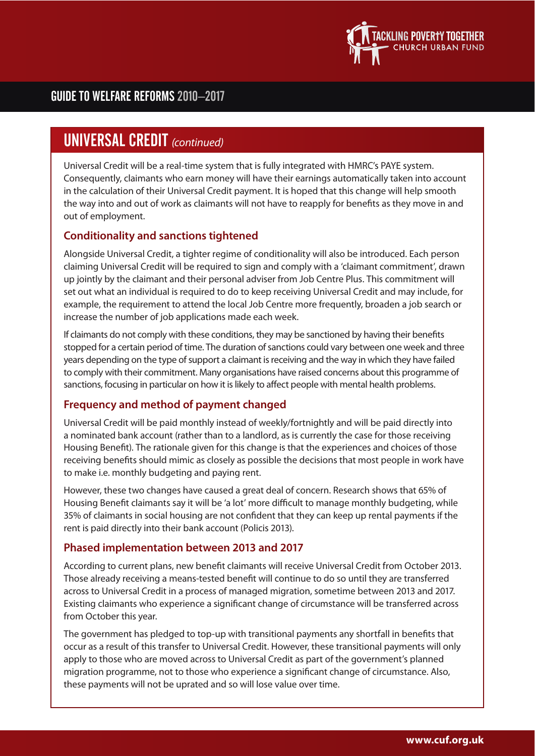

### GUIDE TO WELFARE REFORMS 2010–2017

## **UNIVERSAL CREDIT** (continued)

Universal Credit will be a real-time system that is fully integrated with HMRC's PAYE system. Consequently, claimants who earn money will have their earnings automatically taken into account in the calculation of their Universal Credit payment. It is hoped that this change will help smooth the way into and out of work as claimants will not have to reapply for benefits as they move in and out of employment.

#### **Conditionality and sanctions tightened**

Alongside Universal Credit, a tighter regime of conditionality will also be introduced. Each person claiming Universal Credit will be required to sign and comply with a 'claimant commitment', drawn up jointly by the claimant and their personal adviser from Job Centre Plus. This commitment will set out what an individual is required to do to keep receiving Universal Credit and may include, for example, the requirement to attend the local Job Centre more frequently, broaden a job search or increase the number of job applications made each week.

If claimants do not comply with these conditions, they may be sanctioned by having their benefits stopped for a certain period of time. The duration of sanctions could vary between one week and three years depending on the type of support a claimant is receiving and the way in which they have failed to comply with their commitment. Many organisations have raised concerns about this programme of sanctions, focusing in particular on how it is likely to affect people with mental health problems.

#### **Frequency and method of payment changed**

Universal Credit will be paid monthly instead of weekly/fortnightly and will be paid directly into a nominated bank account (rather than to a landlord, as is currently the case for those receiving Housing Benefit). The rationale given for this change is that the experiences and choices of those receiving benefits should mimic as closely as possible the decisions that most people in work have to make i.e. monthly budgeting and paying rent.

However, these two changes have caused a great deal of concern. Research shows that 65% of Housing Benefit claimants say it will be 'a lot' more difficult to manage monthly budgeting, while 35% of claimants in social housing are not confident that they can keep up rental payments if the rent is paid directly into their bank account (Policis 2013).

#### **Phased implementation between 2013 and 2017**

According to current plans, new benefit claimants will receive Universal Credit from October 2013. Those already receiving a means-tested benefit will continue to do so until they are transferred across to Universal Credit in a process of managed migration, sometime between 2013 and 2017. Existing claimants who experience a significant change of circumstance will be transferred across from October this year.

The government has pledged to top-up with transitional payments any shortfall in benefits that occur as a result of this transfer to Universal Credit. However, these transitional payments will only apply to those who are moved across to Universal Credit as part of the government's planned migration programme, not to those who experience a significant change of circumstance. Also, these payments will not be uprated and so will lose value over time.